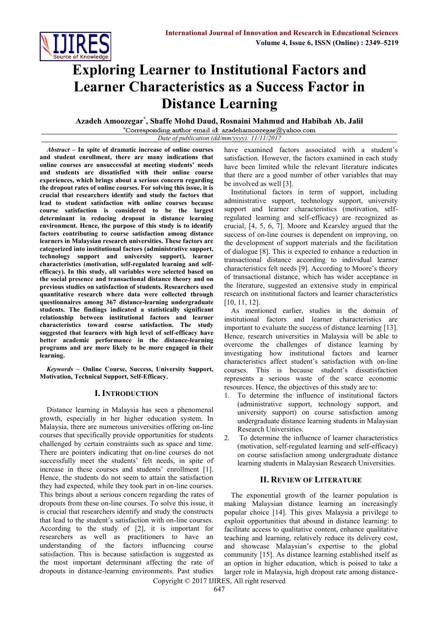

# **Exploring Learner to Institutional Factors and Learner Characteristics as a Success Factor in Distance Learning**

**Azadeh Amoozegar\* , Shaffe Mohd Daud, Rosnaini Mahmud and Habibah Ab. Jalil**

\*Corresponding author email id: azadehamoozegar@yahoo.com *Date of publication (dd/mm/yyyy): 11/11/2017*

*Abstract* **– In spite of dramatic increase of online courses and student enrollment, there are many indications that online courses are unsuccessful at meeting students' needs and students are dissatisfied with their online course experiences, which brings about a serious concern regarding the dropout rates of online courses. For solving this issue, it is crucial that researchers identify and study the factors that lead to student satisfaction with online courses because course satisfaction is considered to be the largest determinant in reducing dropout in distance learning environment. Hence, the purpose of this study is to identify factors contributing to course satisfaction among distance learners in Malaysian research universities. These factors are categorized into institutional factors (administrative support, technology support and university support), learner characteristics (motivation, self-regulated learning and selfefficacy). In this study, all variables were selected based on the social presence and transactional distance theory and on previous studies on satisfaction of students. Researchers used quantitative research where data were collected through questionnaires among 367 distance-learning undergraduate students. The findings indicated a statistically significant relationship between institutional factors and learner characteristics toward course satisfaction. The study suggested that learners with high level of self-efficacy have better academic performance in the distance-learning programs and are more likely to be more engaged in their learning.**

*Keywords* **– Online Course, Success, University Support, Motivation, Technical Support, Self-Efficacy.**

# **I. INTRODUCTION**

Distance learning in Malaysia has seen a phenomenal growth, especially in her higher education system. In Malaysia, there are numerous universities offering on-line courses that specifically provide opportunities for students challenged by certain constraints such as space and time. There are pointers indicating that on-line courses do not successfully meet the students' felt needs, in spite of increase in these courses and students' enrollment [1]. Hence, the students do not seem to attain the satisfaction they had expected, while they took part in on-line courses. This brings about a serious concern regarding the rates of dropouts from these on-line courses. To solve this issue, it is crucial that researchers identify and study the constructs that lead to the student's satisfaction with on-line courses. According to the study of [2], it is important for researchers as well as practitioners to have an understanding of the factors influencing course satisfaction. This is because satisfaction is suggested as the most important determinant affecting the rate of dropouts in distance-learning environments. Past studies

have examined factors associated with a student's satisfaction. However, the factors examined in each study have been limited while the relevant literature indicates that there are a good number of other variables that may be involved as well [3].

Institutional factors in term of support, including administrative support, technology support, university support and learner characteristics (motivation, selfregulated learning and self-efficacy) are recognized as crucial, [4, 5, 6, 7]. Moore and Kearsley argued that the success of on-line courses is dependent on improving, on the development of support materials and the facilitation of dialogue [8]. This is expected to enhance a reduction in transactional distance according to individual learner characteristics felt needs [9]. According to Moore's theory of transactional distance, which has wider acceptance in the literature, suggested an extensive study in empirical research on institutional factors and learner characteristics [10, 11, 12].

As mentioned earlier, studies in the domain of institutional factors and learner characteristics are important to evaluate the success of distance learning [13]. Hence, research universities in Malaysia will be able to overcome the challenges of distance learning by investigating how institutional factors and learner characteristics affect student's satisfaction with on-line courses. This is because student's dissatisfaction represents a serious waste of the scarce economic resources. Hence, the objectives of this study are to:

- 1. To determine the influence of institutional factors (administrative support, technology support, and university support) on course satisfaction among undergraduate distance learning students in Malaysian Research Universities.
- 2. To determine the influence of learner characteristics (motivation, self-regulated learning and self-efficacy) on course satisfaction among undergraduate distance learning students in Malaysian Research Universities.

# **II. REVIEW OF LITERATURE**

The exponential growth of the learner population is making Malaysian distance learning an increasingly popular choice [14]. This gives Malaysia a privilege to exploit opportunities that abound in distance learning: to facilitate access to qualitative content, enhance qualitative teaching and learning, relatively reduce its delivery cost, and showcase Malaysian's expertise to the global community [15]. As distance learning established itself as an option in higher education, which is poised to take a larger role in Malaysia, high dropout rate among distance-

Copyright © 2017 IJIRES, All right reserved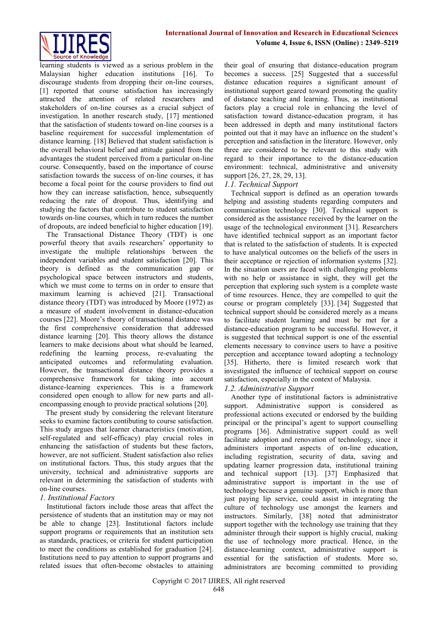

learning students is viewed as a serious problem in the Malaysian higher education institutions [16]. To discourage students from dropping their on-line courses, [1] reported that course satisfaction has increasingly attracted the attention of related researchers and stakeholders of on-line courses as a crucial subject of investigation. In another research study, [17] mentioned that the satisfaction of students toward on-line courses is a baseline requirement for successful implementation of distance learning. [18] Believed that student satisfaction is the overall behavioral belief and attitude gained from the advantages the student perceived from a particular on-line course. Consequently, based on the importance of course satisfaction towards the success of on-line courses, it has become a focal point for the course providers to find out how they can increase satisfaction, hence, subsequently reducing the rate of dropout. Thus, identifying and studying the factors that contribute to student satisfaction towards on-line courses, which in turn reduces the number of dropouts, are indeed beneficial to higher education [19].

The Transactional Distance Theory (TDT) is one powerful theory that avails researchers' opportunity to investigate the multiple relationships between the independent variables and student satisfaction [20]. This theory is defined as the communication gap or psychological space between instructors and students, which we must come to terms on in order to ensure that maximum learning is achieved [21]. Transactional distance theory (TDT) was introduced by Moore (1972) as a measure of student involvement in distance-education courses [22]. Moore's theory of transactional distance was the first comprehensive consideration that addressed distance learning [20]. This theory allows the distance learners to make decisions about what should be learned, redefining the learning process, re-evaluating the anticipated outcomes and reformulating evaluation. However, the transactional distance theory provides a comprehensive framework for taking into account distance-learning experiences. This is a framework considered open enough to allow for new parts and allencompassing enough to provide practical solutions [20].

 The present study by considering the relevant literature seeks to examine factors contibuting to course satisfaction. This study argues that learner characteristics (motivation, self-regulated and self-efficacy) play crucial roles in enhancing the satisfaction of students but these factors, however, are not sufficient. Student satisfaction also relies on institutional factors. Thus, this study argues that the university, technical and administrative supports are relevant in determining the satisfaction of students with on-line courses.

## *1. Institutional Factors*

Institutional factors include those areas that affect the persistence of students that an institution may or may not be able to change [23]. Institutional factors include support programs or requirements that an institution sets as standards, practices, or criteria for student participation to meet the conditions as established for graduation [24]. Institutions need to pay attention to support programs and related issues that often-become obstacles to attaining their goal of ensuring that distance-education program becomes a success. [25] Suggested that a successful distance education requires a significant amount of institutional support geared toward promoting the quality of distance teaching and learning. Thus, as institutional factors play a crucial role in enhancing the level of satisfaction toward distance-education program, it has been addressed in depth and many institutional factors pointed out that it may have an influence on the student's perception and satisfaction in the literature. However, only three are considered to be relevant to this study with regard to their importance to the distance-education environment: technical, administrative and university support [26, 27, 28, 29, 13].

## *1.1. Technical Support*

Technical support is defined as an operation towards helping and assisting students regarding computers and communication technology [30]. Technical support is considered as the assistance received by the learner on the usage of the technological environment [31]. Researchers have identified technical support as an important factor that is related to the satisfaction of students. It is expected to have analytical outcomes on the beliefs of the users in their acceptance or rejection of information systems [32]. In the situation users are faced with challenging problems with no help or assistance in sight, they will get the perception that exploring such system is a complete waste of time resources. Hence, they are compelled to quit the course or program completely [33]. [34] Suggested that technical support should be considered merely as a means to facilitate student learning and must be met for a distance-education program to be successful. However, it is suggested that technical support is one of the essential elements necessary to convince users to have a positive perception and acceptance toward adopting a technology [35]. Hitherto, there is limited research work that investigated the influence of technical support on course satisfaction, especially in the context of Malaysia.

# *1.2. Administrative Support*

Another type of institutional factors is administrative support. Administrative support is considered as professional actions executed or endorsed by the building principal or the principal's agent to support counselling programs [36]. Administrative support could as well facilitate adoption and renovation of technology, since it administers important aspects of on-line education, including registration, security of data, saving and updating learner progression data, institutional training and technical support [13]. [37] Emphasized that administrative support is important in the use of technology because a genuine support, which is more than just paying lip service, could assist in integrating the culture of technology use amongst the learners and instructors. Similarly, [38] noted that administrator support together with the technology use training that they administer through their support is highly crucial, making the use of technology more practical. Hence, in the distance-learning context, administrative support is essential for the satisfaction of students. More so, administrators are becoming committed to providing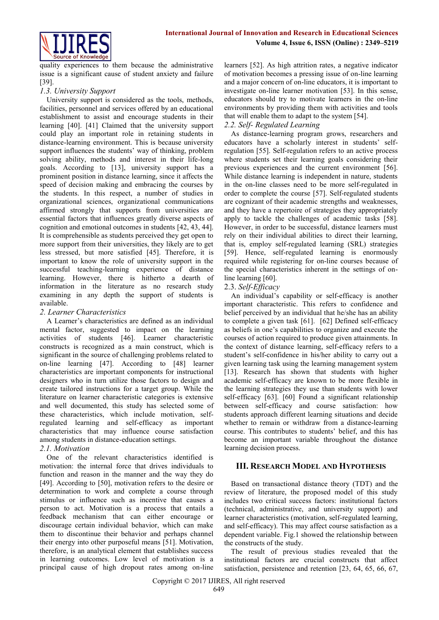

quality experiences to them because the administrative issue is a significant cause of student anxiety and failure [39].

# *1.3. University Support*

University support is considered as the tools, methods, facilities, personnel and services offered by an educational establishment to assist and encourage students in their learning [40]. [41] Claimed that the university support could play an important role in retaining students in distance-learning environment. This is because university support influences the students' way of thinking, problem solving ability, methods and interest in their life-long goals. According to [13], university support has a prominent position in distance learning, since it affects the speed of decision making and embracing the courses by the students. In this respect, a number of studies in organizational sciences, organizational communications affirmed strongly that supports from universities are essential factors that influences greatly diverse aspects of cognition and emotional outcomes in students [42, 43, 44]. It is comprehensible as students perceived they get open to more support from their universities, they likely are to get less stressed, but more satisfied [45]. Therefore, it is important to know the role of university support in the successful teaching-learning experience of distance learning. However, there is hitherto a dearth of information in the literature as no research study examining in any depth the support of students is available.

# *2. Learner Characteristics*

A Learner's characteristics are defined as an individual mental factor, suggested to impact on the learning activities of students [46]. Learner characteristic constructs is recognized as a main construct, which is significant in the source of challenging problems related to on-line learning [47]. According to [48] learner characteristics are important components for instructional designers who in turn utilize those factors to design and create tailored instructions for a target group. While the literature on learner characteristic categories is extensive and well documented, this study has selected some of these characteristics, which include motivation, selfregulated learning and self-efficacy as important characteristics that may influence course satisfaction among students in distance-education settings.

# *2.1. Motivation*

One of the relevant characteristics identified is motivation: the internal force that drives individuals to function and reason in the manner and the way they do [49]. According to [50], motivation refers to the desire or determination to work and complete a course through stimulus or influence such as incentive that causes a person to act. Motivation is a process that entails a feedback mechanism that can either encourage or discourage certain individual behavior, which can make them to discontinue their behavior and perhaps channel their energy into other purposeful means [51]. Motivation, therefore, is an analytical element that establishes success in learning outcomes. Low level of motivation is a principal cause of high dropout rates among on-line learners [52]. As high attrition rates, a negative indicator of motivation becomes a pressing issue of on-line learning and a major concern of on-line educators, it is important to investigate on-line learner motivation [53]. In this sense, educators should try to motivate learners in the on-line environments by providing them with activities and tools that will enable them to adapt to the system [54].

# *2.2. Self- Regulated Learning*

As distance-learning program grows, researchers and educators have a scholarly interest in students' selfregulation [55]. Self-regulation refers to an active process where students set their learning goals considering their previous experiences and the current environment [56]. While distance learning is independent in nature, students in the on-line classes need to be more self-regulated in order to complete the course [57]. Self-regulated students are cognizant of their academic strengths and weaknesses, and they have a repertoire of strategies they appropriately apply to tackle the challenges of academic tasks [58]. However, in order to be successful, distance learners must rely on their individual abilities to direct their learning, that is, employ self-regulated learning (SRL) strategies [59]. Hence, self-regulated learning is enormously required while registering for on-line courses because of the special characteristics inherent in the settings of online learning [60].

# 2.3. *Self-Efficacy*

An individual's capability or self-efficacy is another important characteristic. This refers to confidence and belief perceived by an individual that he/she has an ability to complete a given task [61]. [62] Defined self-efficacy as beliefs in one's capabilities to organize and execute the courses of action required to produce given attainments. In the context of distance learning, self-efficacy refers to a student's self-confidence in his/her ability to carry out a given learning task using the learning management system [13]. Research has shown that students with higher academic self-efficacy are known to be more flexible in the learning strategies they use than students with lower self-efficacy [63]. [60] Found a significant relationship between self-efficacy and course satisfaction: how students approach different learning situations and decide whether to remain or withdraw from a distance-learning course. This contributes to students' belief, and this has become an important variable throughout the distance learning decision process.

# **III. RESEARCH MODEL AND HYPOTHESIS**

Based on transactional distance theory (TDT) and the review of literature, the proposed model of this study includes two critical success factors: institutional factors (technical, administrative, and university support) and learner characteristics (motivation, self-regulated learning, and self-efficacy). This may affect course satisfaction as a dependent variable. Fig.1 showed the relationship between the constructs of the study.

The result of previous studies revealed that the institutional factors are crucial constructs that affect satisfaction, persistence and retention [23, 64, 65, 66, 67,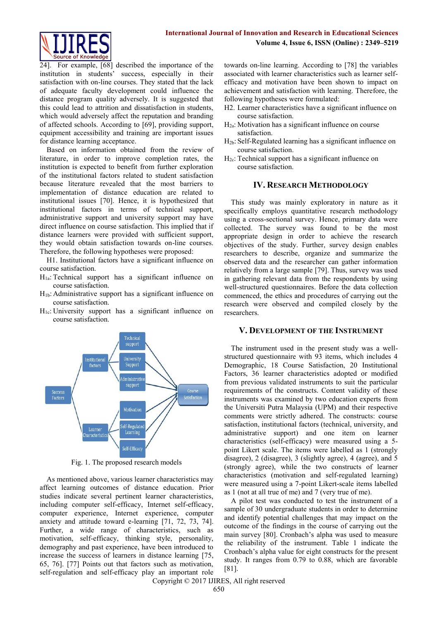

24]. For example, [68] described the importance of the institution in students' success, especially in their satisfaction with on-line courses. They stated that the lack of adequate faculty development could influence the distance program quality adversely. It is suggested that this could lead to attrition and dissatisfaction in students, which would adversely affect the reputation and branding of affected schools. According to [69], providing support, equipment accessibility and training are important issues for distance learning acceptance.

Based on information obtained from the review of literature, in order to improve completion rates, the institution is expected to benefit from further exploration of the institutional factors related to student satisfaction because literature revealed that the most barriers to implementation of distance education are related to institutional issues [70]. Hence, it is hypothesized that institutional factors in terms of technical support, administrative support and university support may have direct influence on course satisfaction. This implied that if distance learners were provided with sufficient support, they would obtain satisfaction towards on-line courses. Therefore, the following hypotheses were proposed:

H1. Institutional factors have a significant influence on course satisfaction.

- $H<sub>1a</sub>$ : Technical support has a significant influence on course satisfaction.
- H1b: Administrative support has a significant influence on course satisfaction.
- $H<sub>1c</sub>$ : University support has a significant influence on course satisfaction.



Fig. 1. The proposed research models

As mentioned above, various learner characteristics may affect learning outcomes of distance education. Prior studies indicate several pertinent learner characteristics, including computer self-efficacy, Internet self-efficacy, computer experience, Internet experience, computer anxiety and attitude toward e-learning [71, 72, 73, 74]. Further, a wide range of characteristics, such as motivation, self-efficacy, thinking style, personality, demography and past experience, have been introduced to increase the success of learners in distance learning [75, 65, 76]. [77] Points out that factors such as motivation, self-regulation and self-efficacy play an important role

towards on-line learning. According to [78] the variables associated with learner characteristics such as learner selfefficacy and motivation have been shown to impact on achievement and satisfaction with learning. Therefore, the following hypotheses were formulated:

- H2. Learner characteristics have a significant influence on course satisfaction.
- H2a: Motivation has a significant influence on course satisfaction.
- H2b: Self-Regulated learning has a significant influence on course satisfaction.
- $H_{2c}$ : Technical support has a significant influence on course satisfaction.

## **IV. RESEARCH METHODOLOGY**

This study was mainly exploratory in nature as it specifically employs quantitative research methodology using a cross-sectional survey. Hence, primary data were collected. The survey was found to be the most appropriate design in order to achieve the research objectives of the study. Further, survey design enables researchers to describe, organize and summarize the observed data and the researcher can gather information relatively from a large sample [79]. Thus, survey was used in gathering relevant data from the respondents by using well-structured questionnaires. Before the data collection commenced, the ethics and procedures of carrying out the research were observed and compiled closely by the researchers.

## **V. DEVELOPMENT OF THE INSTRUMENT**

The instrument used in the present study was a wellstructured questionnaire with 93 items, which includes 4 Demographic, 18 Course Satisfaction, 20 Institutional Factors, 36 learner characteristics adopted or modified from previous validated instruments to suit the particular requirements of the constructs. Content validity of these instruments was examined by two education experts from the Universiti Putra Malaysia (UPM) and their respective comments were strictly adhered. The constructs: course satisfaction, institutional factors (technical, university, and administrative support) and one item on learner characteristics (self-efficacy) were measured using a 5 point Likert scale. The items were labelled as 1 (strongly disagree), 2 (disagree), 3 (slightly agree), 4 (agree), and 5 (strongly agree), while the two constructs of learner characteristics (motivation and self-regulated learning) were measured using a 7-point Likert-scale items labelled as 1 (not at all true of me) and 7 (very true of me).

A pilot test was conducted to test the instrument of a sample of 30 undergraduate students in order to determine and identify potential challenges that may impact on the outcome of the findings in the course of carrying out the main survey [80]. Cronbach's alpha was used to measure the reliability of the instrument. Table 1 indicate the Cronbach's alpha value for eight constructs for the present study. It ranges from 0.79 to 0.88, which are favorable [81].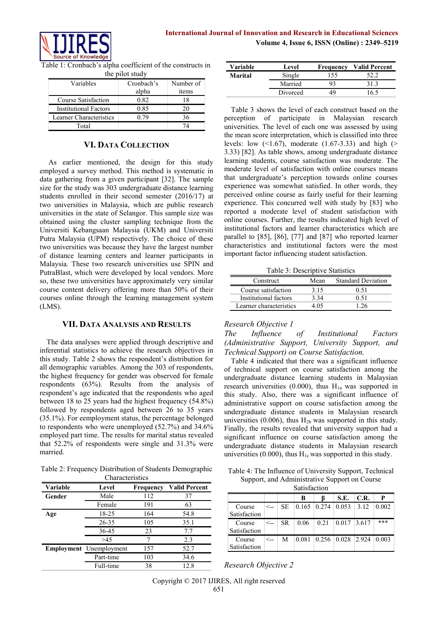

Table 1: Cronbach's alpha coefficient of the constructs in the pilot study

| Variables                    | Cronbach's<br>alpha | Number of<br>items |
|------------------------------|---------------------|--------------------|
| Course Satisfaction          | 0.82                | 18                 |
| <b>Institutional Factors</b> | 0.85                |                    |
| Learner Characteristics      | () 79               | 36                 |
| Total                        |                     |                    |

# **VI. DATA COLLECTION**

As earlier mentioned, the design for this study employed a survey method. This method is systematic in data gathering from a given participant [32]. The sample size for the study was 303 undergraduate distance learning students enrolled in their second semester (2016/17) at two universities in Malaysia, which are public research universities in the state of Selangor. This sample size was obtained using the cluster sampling technique from the Universiti Kebangsaan Malaysia (UKM) and Universiti Putra Malaysia (UPM) respectively. The choice of these two universities was because they have the largest number of distance learning centers and learner participants in Malaysia. These two research universities use SPIN and PutraBlast, which were developed by local vendors. More so, these two universities have approximately very similar course content delivery offering more than 50% of their courses online through the learning management system (LMS).

# **VII. DATA ANALYSIS AND RESULTS**

The data analyses were applied through descriptive and inferential statistics to achieve the research objectives in this study. Table 2 shows the respondent's distribution for all demographic variables. Among the 303 of respondents, the highest frequency for gender was observed for female respondents (63%). Results from the analysis of respondent's age indicated that the respondents who aged between 18 to 25 years had the highest frequency (54.8%) followed by respondents aged between 26 to 35 years (35.1%). For eemployment status, the percentage belonged to respondents who were unemployed (52.7%) and 34.6% employed part time. The results for marital status revealed that 52.2% of respondents were single and 31.3% were married.

Table 2: Frequency Distribution of Students Demographic Characteristics

| Variable | Level                   | Frequency | <b>Valid Percent</b> |  |  |  |  |
|----------|-------------------------|-----------|----------------------|--|--|--|--|
| Gender   | Male                    | 112       | 37                   |  |  |  |  |
|          | Female                  | 191       | 63                   |  |  |  |  |
| Age      | 18-25                   | 164       | 54.8                 |  |  |  |  |
|          | 26-35                   | 105       | 35.1                 |  |  |  |  |
|          | 36-45                   | 23        | 7.7                  |  |  |  |  |
|          | >45                     |           | 2.3                  |  |  |  |  |
|          | Employment Unemployment | 157       | 52.7                 |  |  |  |  |
|          | Part-time               | 103       | 34.6                 |  |  |  |  |
|          | Full-time               | 38        | 12.8                 |  |  |  |  |

| Variable | Level    | Frequency | <b>Valid Percent</b> |  |
|----------|----------|-----------|----------------------|--|
| Marital  | Single   | 55        |                      |  |
|          | Married  |           |                      |  |
|          | Divorced | 45        | 16.5                 |  |

Table 3 shows the level of each construct based on the perception of participate in Malaysian research universities. The level of each one was assessed by using the mean score interpretation, which is classified into three levels: low  $(1.67)$ , moderate  $(1.67-3.33)$  and high (> 3.33) [82]. As table shows, among undergraduate distance learning students, course satisfaction was moderate. The moderate level of satisfaction with online courses means that undergraduate's perception towards online courses experience was somewhat satisfied. In other words, they perceived online course as fairly useful for their learning experience. This concurred well with study by [83] who reported a moderate level of student satisfaction with online courses. Further, the results indicated high level of institutional factors and learner characteristics which are parallel to [85], [86], [77] and [87] who reported learner characteristics and institutional factors were the most important factor influencing student satisfaction.

Table 3: Descriptive Statistics

| Construct               | Mean | <b>Standard Deviation</b> |
|-------------------------|------|---------------------------|
| Course satisfaction     | 3 15 | 0 51                      |
| Institutional factors   | 3.34 | 0.51                      |
| Learner characteristics | 4.05 | -26                       |

# *Research Objective 1*

*The Influence of Institutional Factors (Administrative Support, University Support, and Technical Support) on Course Satisfaction.*

Table 4 indicated that there was a significant influence of technical support on course satisfaction among the undergraduate distance learning students in Malaysian research universities  $(0.000)$ , thus  $H<sub>1a</sub>$  was supported in this study. Also, there was a significant influence of administrative support on course satisfaction among the undergraduate distance students in Malaysian research universities  $(0.006)$ , thus  $H<sub>2b</sub>$  was supported in this study. Finally, the results revealed that university support had a significant influence on course satisfaction among the undergraduate distance students in Malaysian research universities (0.000), thus  $H_{1c}$  was supported in this study.

Table 4: The Influence of University Support, Technical Support, and Administrative Support on Course

| Satisfaction           |              |     |       |                                        |       |       |       |  |
|------------------------|--------------|-----|-------|----------------------------------------|-------|-------|-------|--|
|                        |              |     | в     |                                        | S.E.  | C.R.  | P     |  |
| Course<br>Satisfaction | $\leftarrow$ | SE. |       | $ 0.165 \rangle  0.274 \rangle  0.053$ |       | 3.12  | 0.002 |  |
| Course<br>Satisfaction | <--          | SR. | 0.06  | 0.21                                   | 0.017 | 3.617 | ***   |  |
| Course<br>Satisfaction | <--          | М   | 0.081 | $0.256 \mid 0.028$                     |       | 2.924 | 0.003 |  |

*Research Objective 2*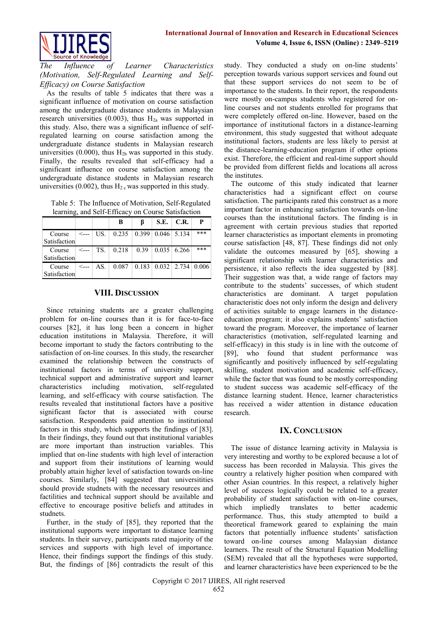



*The Influence of Learner Characteristics (Motivation, Self-Regulated Learning and Self-Efficacy) on Course Satisfaction*

As the results of table 5 indicates that there was a significant influence of motivation on course satisfaction among the undergraduate distance students in Malaysian research universities (0.003), thus  $H<sub>2a</sub>$  was supported in this study. Also, there was a significant influence of selfregulated learning on course satisfaction among the undergraduate distance students in Malaysian research universities  $(0.000)$ , thus  $H_{2b}$  was supported in this study. Finally, the results revealed that self-efficacy had a significant influence on course satisfaction among the undergraduate distance students in Malaysian research universities (0.002), thus  $H<sub>2 c</sub>$  was supported in this study.

 Table 5: The Influence of Motivation, Self-Regulated learning, and Self-Efficacy on Course Satisfaction

|                        |       |     | В                                                        | ß | S.E.               | C.R. | P     |
|------------------------|-------|-----|----------------------------------------------------------|---|--------------------|------|-------|
| Course<br>Satisfaction | <---  | US. | $0.235 \pm 0.399$                                        |   | $0.046$ 5.134      |      | $***$ |
| Course<br>Satisfaction | <---- |     | $TS. \mid 0.218 \mid 0.39 \mid$                          |   | $0.035 \mid 6.266$ |      | $***$ |
| Course<br>Satisfaction | <---  | AS. | $0.087 \mid 0.183 \mid 0.032 \mid 2.734 \mid 0.006 \mid$ |   |                    |      |       |

## **VIII. DISCUSSION**

Since retaining students are a greater challenging problem for on-line courses than it is for face-to-face courses [82], it has long been a concern in higher education institutions in Malaysia. Therefore, it will become important to study the factors contributing to the satisfaction of on-line courses. In this study, the researcher examined the relationship between the constructs of institutional factors in terms of university support, technical support and administrative support and learner characteristics including motivation, self-regulated learning, and self-efficacy with course satisfaction. The results revealed that institutional factors have a positive significant factor that is associated with course satisfaction. Respondents paid attention to institutional factors in this study, which supports the findings of [83]. In their findings, they found out that institutional variables are more important than instruction variables. This implied that on-line students with high level of interaction and support from their institutions of learning would probably attain higher level of satisfaction towards on-line courses. Similarly, [84] suggested that universitities should provide studnets with the necessary resources and factilities and technical support should be available and effective to encourage positive beliefs and attitudes in studnets.

Further, in the study of [85], they reported that the institutional supports were important to distance learning students. In their survey, participants rated majority of the services and supports with high level of importance. Hence, their findings support the findings of this study. But, the findings of [86] contradicts the result of this study. They conducted a study on on-line students' perception towards various support services and found out that these support services do not seem to be of importance to the students. In their report, the respondents were mostly on-campus students who registered for online courses and not students enrolled for programs that were completely offered on-line. However, based on the importance of institutional factors in a distance-learning environment, this study suggested that without adequate institutional factors, students are less likely to persist at the distance-learning-education program if other options exist. Therefore, the efficient and real-time support should be provided from different fields and locations all across the institutes.

The outcome of this study indicated that learner characteristics had a significant effect on course satisfaction. The participants rated this construct as a more important factor in enhancing satisfaction towards on-line courses than the institutional factors. The finding is in agreement with certain previous studies that reported learner characteristics as important elements in promoting course satisfaction [48, 87]. These findings did not only validate the outcomes measured by [65], showing a significant relationship with learner characteristics and persistence, it also reflects the idea suggested by [88]. Their suggestion was that, a wide range of factors may contribute to the students' successes, of which student characteristics are dominant. A target population characteristic does not only inform the design and delivery of activities suitable to engage learners in the distanceeducation program; it also explains students' satisfaction toward the program. Moreover, the importance of learner characteristics (motivation, self-regulated learning and self-efficacy) in this study is in line with the outcome of [89], who found that student performance was significantly and positively influenced by self-regulating skilling, student motivation and academic self-efficacy, while the factor that was found to be mostly corresponding to student success was academic self-efficacy of the distance learning student. Hence, learner characteristics has received a wider attention in distance education research.

## **IX. CONCLUSION**

The issue of distance learning activity in Malaysia is very interesting and worthy to be explored because a lot of success has been recorded in Malaysia. This gives the country a relatively higher position when compared with other Asian countries. In this respect, a relatively higher level of success logically could be related to a greater probability of student satisfaction with on-line courses, which impliedly translates to better academic performance. Thus, this study attempted to build a theoretical framework geared to explaining the main factors that potentially influence students' satisfaction toward on-line courses among Malaysian distance learners. The result of the Structural Equation Modelling (SEM) revealed that all the hypotheses were supported, and learner characteristics have been experienced to be the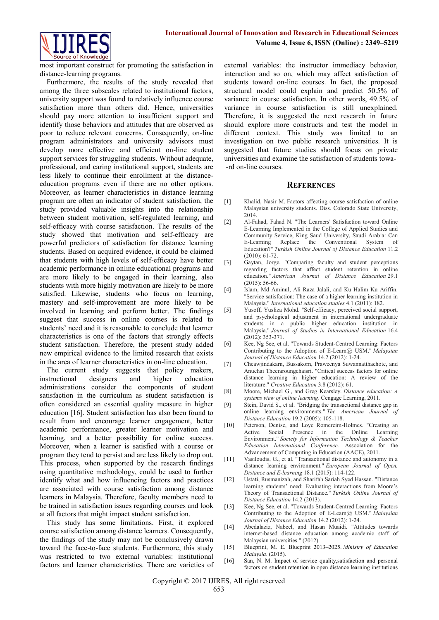

most important construct for promoting the satisfaction in distance-learning programs.

Furthermore, the results of the study revealed that among the three subscales related to institutional factors, university support was found to relatively influence course satisfaction more than others did. Hence, universities should pay more attention to insufficient support and identify those behaviors and attitudes that are observed as poor to reduce relevant concerns. Consequently, on-line program administrators and university advisors must develop more effective and efficient on-line student support services for struggling students. Without adequate, professional, and caring institutional support, students are less likely to continue their enrollment at the distanceeducation programs even if there are no other options. Moreover, as learner characteristics in distance learning program are often an indicator of student satisfaction, the study provided valuable insights into the relationship between student motivation, self-regulated learning, and self-efficacy with course satisfaction. The results of the study showed that motivation and self-efficacy are powerful predictors of satisfaction for distance learning students. Based on acquired evidence, it could be claimed that students with high levels of self-efficacy have better academic performance in online educational programs and are more likely to be engaged in their learning, also students with more highly motivation are likely to be more satisfied. Likewise, students who focus on learning, mastery and self-improvement are more likely to be involved in learning and perform better. The findings suggest that success in online courses is related to students' need and it is reasonable to conclude that learner characteristics is one of the factors that strongly effects student satisfaction. Therefore, the present study added new empirical evidence to the limited research that exists in the area of learner characteristics in on-line education.

The current study suggests that policy makers, instructional designers and higher education administrations consider the components of student satisfaction in the curriculum as student satisfaction is often considered an essential quality measure in higher education [16]. Student satisfaction has also been found to result from and encourage learner engagement, better academic performance, greater learner motivation and learning, and a better possibility for online success. Moreover, when a learner is satisfied with a course or program they tend to persist and are less likely to drop out. This process, when supported by the research findings using quantitative methodology, could be used to further identify what and how influencing factors and practices are associated with course satisfaction among distance learners in Malaysia. Therefore, faculty members need to be trained in satisfaction issues regarding courses and look at all factors that might impact student satisfaction.

This study has some limitations. First, it explored course satisfaction among distance learners. Consequently, the findings of the study may not be conclusively drawn toward the face-to-face students. Furthermore, this study was restricted to two external variables: institutional factors and learner characteristics. There are varieties of external variables: the instructor immediacy behavior, interaction and so on, which may affect satisfaction of students toward on-line courses. In fact, the proposed structural model could explain and predict 50.5% of variance in course satisfaction. In other words, 49.5% of variance in course satisfaction is still unexplained. Therefore, it is suggested the next research in future should explore more constructs and test the model in different context. This study was limited to an investigation on two public research universities. It is suggested that future studies should focus on private universities and examine the satisfaction of students towa- -rd on-line courses.

#### **REFERENCES**

- [1] Khalid, Nasir M. Factors affecting course satisfaction of online Malaysian university students. Diss. Colorado State University, 2014.
- [2] Al-Fahad, Fahad N. "The Learners' Satisfaction toward Online E-Learning Implemented in the College of Applied Studies and Community Service, King Saud University, Saudi Arabia: Can E-Learning Replace the Conventional System of Education?" *Turkish Online Journal of Distance Education* 11.2 (2010): 61-72.
- [3] Gaytan, Jorge. "Comparing faculty and student perceptions regarding factors that affect student retention in online education." *American Journal of Distance Education* 29.1 (2015): 56-66.
- [4] Islam, Md Aminul, Ali Raza Jalali, and Ku Halim Ku Ariffin. "Service satisfaction: The case of a higher learning institution in Malaysia." *International education studies* 4.1 (2011): 182.
- [5] Yusoff, Yusliza Mohd. "Self-efficacy, perceived social support, and psychological adjustment in international undergraduate students in a public higher education institution in Malaysia." *Journal of Studies in International Education* 16.4 (2012): 353-371.
- [6] Kee, Ng See, et al. "Towards Student-Centred Learning: Factors Contributing to the Adoption of E-Learn@ USM." *Malaysian Journal of Distance Education* 14.2 (2012): 1-24.
- [7] Cheawjindakarn, Bussakorn, Praweenya Suwannatthachote, and Anuchai Theeraroungchaisri. "Critical success factors for online distance learning in higher education: A review of the literature." *Creative Education* 3.8 (2012): 61.
- [8] Moore, Michael G., and Greg Kearsley. *Distance education: A systems view of online learning*. Cengage Learning, 2011.
- [9] Stein, David S., et al. "Bridging the transactional distance gap in online learning environments." *The American Journal of Distance Education* 19.2 (2005): 105-118.
- [10] Peterson, Denise, and Loye Romereim-Holmes. "Creating an Active Social Presence in the Online Learning Environment." *Society for Information Technology & Teacher Education International Conference*. Association for the Advancement of Computing in Education (AACE), 2011.
- [11] Vasiloudis, G., et al. "Transactional distance and autonomy in a distance learning environment." *European Journal of Open, Distance and E-learning* 18.1 (2015): 114-122.
- [12] Ustati, Rusmanizah, and Sharifah Sariah Syed Hassan. "Distance learning students' need: Evaluating interactions from Moore's Theory of Transactional Distance." *Turkish Online Journal of Distance Education* 14.2 (2013).
- [13] Kee, Ng See, et al. "Towards Student-Centred Learning: Factors Contributing to the Adoption of E-Learn@ USM." *Malaysian Journal of Distance Education* 14.2 (2012): 1-24.
- [14] Abedalaziz, Nabeel, and Hasan Muaidi. "Attitudes towards internet-based distance education among academic staff of Malaysian universities." (2012).
- [15] Blueprint, M. E. Blueprint 2013–2025. *Ministry of Education Malaysia*. (2015).
- [16] San, N. M. Impact of service quality, satisfaction and personal factors on student retention in open distance learning institutions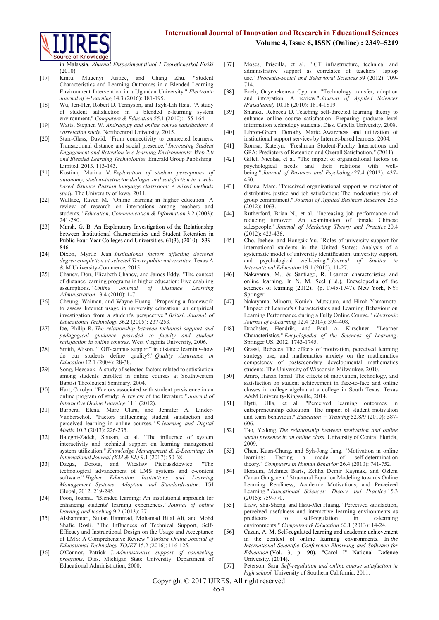## **International Journal of Innovation and Research in Educational Sciences Volume 4, Issue 6, ISSN (Online) : 2349–5219**



in Malaysia. *Zhurnal Eksperimental'noi I Teoreticheskoi Fiziki*   $(2010)$ 

- [17] Kintu, Mugenyi Justice, and Chang Zhu. "Student Characteristics and Learning Outcomes in a Blended Learning Environment Intervention in a Ugandan University." *Electronic Journal of e-Learning* 14.3 (2016): 181-195.
- [18] Wu, Jen-Her, Robert D. Tennyson, and Tzyh-Lih Hsia. "A study of student satisfaction in a blended e-learning system environment." *Computers & Education* 55.1 (2010): 155-164.
- [19] Watts, Stephen W. *Andragogy and online course satisfaction: A correlation study*. Northcentral University, 2015.
- [20] Starr-Glass, David. "From connectivity to connected learners: Transactional distance and social presence." *Increasing Student Engagement and Retention in e-learning Environments: Web 2.0 and Blended Learning Technologies*. Emerald Group Publishing Limited, 2013. 113-143.
- [21] Kostina, Marina V. *Exploration of student perceptions of autonomy, student-instructor dialogue and satisfaction in a webbased distance Russian language classroom: A mixed methods study*. The University of Iowa, 2011.
- [22] Wallace, Raven M. "Online learning in higher education: A review of research on interactions among teachers and students." *Education, Communication & Information* 3.2 (2003): 241-280.
- [23] Marsh, G. B. An Exploratory Investigation of the Relationship between Institutional Characteristics and Student Retention in Public Four-Year Colleges and Universities, 61(3), (2010). 839– 846
- [24] Dixon, Myrtle Jean. *Institutional factors affecting doctoral degree completion at selected Texas public universities*. Texas A & M University-Commerce, 2015.
- [25] Chaney, Don, Elizabeth Chaney, and James Eddy. "The context of distance learning programs in higher education: Five enabling assumptions." *Online Journal of Distance Learning Administration* 13.4 (2010): 1-7.
- [26] Cheung, Waiman, and Wayne Huang. "Proposing a framework to assess Internet usage in university education: an empirical investigation from a student's perspective." *British Journal of Educational Technology* 36.2 (2005): 237-253.
- [27] Ice, Philip R. *The relationship between technical support and pedagogical guidance provided to faculty and student satisfaction in online courses*. West Virginia University, 2006.
- [28] Smith, Alison. ""Off-campus support" in distance learning-how do our students define quality?." *Quality Assurance in Education* 12.1 (2004): 28-38.
- [29] Song, Heesook. A study of selected factors related to satisfaction among students enrolled in online courses at Southwestern Baptist Theological Seminary. 2004.
- [30] Hart, Carolyn. "Factors associated with student persistence in an online program of study: A review of the literature." *Journal of Interactive Online Learning* 11.1 (2012).
- [31] Barbera, Elena, Marc Clara, and Jennifer A. Linder-Vanberschot. "Factors influencing student satisfaction and perceived learning in online courses." *E-learning and Digital Media* 10.3 (2013): 226-235.
- [32] Baleghi-Zadeh, Sousan, et al. "The influence of system interactivity and technical support on learning management system utilization." *Knowledge Management & E-Learning: An International Journal (KM & EL)* 9.1 (2017): 50-68.
- [33] Dzega, Dorota, and Wieslaw Pietruszkiewicz. "The technological advancement of LMS systems and e-content software." *Higher Education Institutions and Learning Management Systems: Adoption and Standardization*. IGI Global, 2012. 219-245.
- [34] Poon, Joanna. "Blended learning: An institutional approach for enhancing students' learning experiences." *Journal of online learning and teaching* 9.2 (2013): 271.
- [35] Alshammari, Sultan Hammad, Mohamad Bilal Ali, and Mohd Shafie Rosli. "The Influences of Technical Support, Self-Efficacy and Instructional Design on the Usage and Acceptance of LMS: A Comprehensive Review." *Turkish Online Journal of Educational Technology-TOJET* 15.2 (2016): 116-125.
- [36] O'Connor, Patrick J. *Administrative support of counseling programs*. Diss. Michigan State University. Department of Educational Administration, 2000.
- [37] Moses, Priscilla, et al. "ICT infrastructure, technical and administrative support as correlates of teachers' laptop use." *Procedia-Social and Behavioral Sciences* 59 (2012): 709- 714.
- [38] Eneh, Onyenekenwa Cyprian. "Technology transfer, adoption and integration: A review." *Journal of Applied Sciences (Faisalabad)* 10.16 (2010): 1814-1819.
- [39] Snarski, Rebecca D. Teaching self-directed learning theory to enhance online course satisfaction: Preparing graduate level information technology students. Diss. Capella University, 2008.
- [40] Libron-Green, Dorothy Marie. Awareness and utilization of institutional support services by Internet-based learners. 2004.
- [41] Romsa, Katelyn. "Freshman Student-Faculty Interactions and GPA: Predictors of Retention and Overall Satisfaction." (2011).
- [42] Gillet, Nicolas, et al. "The impact of organizational factors on psychological needs and their relations with wellbeing." *Journal of Business and Psychology* 27.4 (2012): 437- 450.
- [43] Ohana, Marc. "Perceived organisational support as mediator of distributive justice and job satisfaction: The moderating role of group commitment." *Journal of Applied Business Research* 28.5 (2012): 1063.
- [44] Rutherford, Brian N., et al. "Increasing job performance and reducing turnover: An examination of female Chinese salespeople." *Journal of Marketing Theory and Practice* 20.4 (2012): 423-436.
- [45] Cho, Jaehee, and Hongsik Yu. "Roles of university support for international students in the United States: Analysis of a systematic model of university identification, university support, and psychological well-being." *Journal of Studies in International Education* 19.1 (2015): 11-27.
- [46] Nakayama, M., & Santiago, R. Learner characteristics and online learning. In N. M. Seel (Ed.), Encyclopedia of the sciences of learning (2012). (p. 1745-1747). New York, NY: Springer.
- [47] Nakayama, Minoru, Kouichi Mutsuura, and Hiroh Yamamoto. "Impact of Learner's Characteristics and Learning Behaviour on Learning Performance during a Fully Online Course." *Electronic Journal of e-Learning* 12.4 (2014): 394-408.
- [48] Drachsler, Hendrik, and Paul A. Kirschner. "Learner Characteristics." *Encyclopedia of the Sciences of Learning*. Springer US, 2012. 1743-1745.
- [49] Grassl, Rebecca. The effects of motivation, perceived learning strategy use, and mathematics anxiety on the mathematics competency of postsecondary developmental mathematics students. The University of Wisconsin-Milwaukee, 2010.
- [50] Amro, Hanan Jamal. The effects of motivation, technology, and satisfaction on student achievement in face-to-face and online classes in college algebra at a college in South Texas. Texas A&M University-Kingsville, 2014.
- [51] Hytti, Ulla, et al. "Perceived learning outcomes in entrepreneurship education: The impact of student motivation and team behaviour." *Education + Training* 52.8/9 (2010): 587- 606.
- [52] Tao, Yedong. *The relationship between motivation and online social presence in an online class*. University of Central Florida, 2009.
- [53] Chen, Kuan-Chung, and Syh-Jong Jang. "Motivation in online learning: Testing a model of self-determination theory." *Computers in Human Behavior* 26.4 (2010): 741-752.
- [54] Horzum, Mehmet Baris, Zeliha Demir Kaymak, and Ozlem Canan Gungoren. "Structural Equation Modeling towards Online Learning Readiness, Academic Motivations, and Perceived Learning." *Educational Sciences: Theory and Practice* 15.3 (2015): 759-770.
- [55] Liaw, Shu-Sheng, and Hsiu-Mei Huang. "Perceived satisfaction, perceived usefulness and interactive learning environments as predictors to self-regulation in e-learning environments." *Computers & Education* 60.1 (2013): 14-24.
- [56] Cazan, A. M. Self-regulated learning and academic achievement in the context of online learning environments. In *the International Scientific Conference Elearning and Software for Education* (Vol. 3, p. 90). "Carol I" National Defence University. (2014).
- [57] Peterson, Sara. *Self-regulation and online course satisfaction in high school*. University of Southern California, 2011.

Copyright © 2017 IJIRES, All right reserved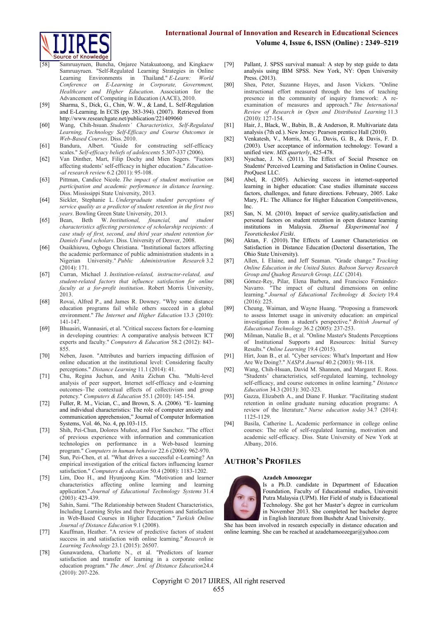# **International Journal of Innovation and Research in Educational Sciences**

**Volume 4, Issue 6, ISSN (Online) : 2349–5219**



- Samruayruen, Buncha, Onjaree Natakuatoong, and Kingkaew Samruayruen. "Self-Regulated Learning Strategies in Online Learning Environments in Thailand." *E-Learn: World Conference on E-Learning in Corporate, Government, Healthcare and Higher Education*. Association for the Advancement of Computing in Education (AACE), 2010.
- [59] Sharma, S., Dick, G., Chin, W. W., & Land, L. Self-Regulation and E-Learning. In ECIS (pp. 383-394). (2007). Retrieved from http://www.researchgate.net/publication/221409060
- [60] Wang, Chih-hsuan. *Students' Characteristics, Self-Regulated Learning, Technology Self-Efficacy and Course Outcomes in Web-Based Courses*. Diss. 2010.
- [61] Bandura, Albert. "Guide for constructing self-efficacy scales." *Self-efficacy beliefs of adolescents* 5.307-337 (2006).
- [62] Van Dinther, Mart, Filip Dochy and Mien Segers. "Factors affecting students' self-efficacy in higher education." *Education- -al research review* 6.2 (2011): 95-108.
- [63] Pittman, Candice Nicole. *The impact of student motivation on participation and academic performance in distance learning*. Diss. Mississippi State University, 2013.
- [64] Sickler, Stephanie L. *Undergraduate student perceptions of service quality as a predictor of student retention in the first two years*. Bowling Green State University, 2013.
- [65] Bean, Beth W. *Institutional, financial, and student characteristics affecting persistence of scholarship recipients: A case study of first, second, and third year student retention for Daniels Fund scholars*. Diss. University of Denver, 2008.
- [66] Osaikhiuwu, Ogbogu Christiana. "Institutional factors affecting the academic performance of public administration students in a Nigerian University." *Public Administration Research* 3.2 (2014): 171.
- [67] Curran, Michael J. *Institution-related, instructor-related, and student-related factors that influence satisfaction for online faculty at a for-profit institution*. Robert Morris University, 2013.
- [68] Rovai, Alfred P., and James R. Downey. "Why some distance education programs fail while others succeed in a global environment." *The Internet and Higher Education* 13.3 (2010): 141-147.
- [69] Bhuasiri, Wannasiri, et al. "Critical success factors for e-learning in developing countries: A comparative analysis between ICT experts and faculty." *Computers & Education* 58.2 (2012): 843- 855.
- [70] Neben, Jason. "Attributes and barriers impacting diffusion of online education at the institutional level: Considering faculty perceptions." *Distance Learning* 11.1 (2014): 41.
- [71] Chu, Regina Juchun, and Anita Zichun Chu. "Multi-level analysis of peer support, Internet self-efficacy and e-learning outcomes–The contextual effects of collectivism and group potency." *Computers & Education* 55.1 (2010): 145-154.
- [72] Fuller, R. M., Vician, C., and Brown, S. A. (2006). "E- learning and individual characteristics: The role of computer anxiety and communication apprehension," Journal of Computer Information Systems, Vol. 46, No. 4, pp.103-115.
- [73] Shih, Pei-Chun, Dolores Muñoz, and Flor Sanchez. "The effect of previous experience with information and communication technologies on performance in a Web-based learning program." *Computers in human behavior* 22.6 (2006): 962-970.
- [74] Sun, Pei-Chen, et al. "What drives a successful e-Learning? An empirical investigation of the critical factors influencing learner satisfaction." *Computers & education* 50.4 (2008): 1183-1202.
- [75] Lim, Doo H., and Hyunjoong Kim. "Motivation and learner characteristics affecting online learning and learning application." *Journal of Educational Technology Systems* 31.4 (2003): 423-439.
- [76] Sahin, Sami. "The Relationship between Student Characteristics, Including Learning Styles and their Perceptions and Satisfaction in Web-Based Courses in Higher Education." *Turkish Online Journal of Distance Education* 9.1 (2008).
- [77] Kauffman, Heather. "A review of predictive factors of student success in and satisfaction with online learning." *Research in Learning Technology* 23.1 (2015): 26507.
- [78] Gunawardena, Charlotte N., et al. "Predictors of learner satisfaction and transfer of learning in a corporate online education program." *The Amer. Jrnl. of Distance Education*24.4 (2010): 207-226.
- [79] Pallant, J. SPSS survival manual: A step by step guide to data analysis using IBM SPSS. New York, NY: Open University Press. (2013).
- [80] Shea, Peter, Suzanne Hayes, and Jason Vickers. "Online instructional effort measured through the lens of teaching presence in the community of inquiry framework: A reexamination of measures and approach." *The International Review of Research in Open and Distributed Learning* 11.3  $(2010): 127-154.$
- [81] Hair, J., Black, W., Babin, B., & Anderson, R. Multivariate data analysis (7th ed.). New Jersey: Pearson prentice Hall (2010).
- [82] Venkatesh, V., Morris, M. G., Davis, G. B., & Davis, F. D. (2003). User acceptance of information technology: Toward a unified view. *MIS quarterly*, 425-478.
- [83] Nyachae, J. N. (2011). The Effect of Social Presence on Students' Perceived Learning and Satisfaction in Online Courses. ProQuest LLC.
- [84] Abel, R. (2005). Achieving success in internet-supported learning in higher education: Case studies illuminate success factors, challenges, and future directions. February, 2005. Lake Mary, FL: The Alliance for Higher Education Competitiveness, Inc.
- [85] San, N. M. (2010). Impact of service quality, satisfaction and personal factors on student retention in open distance learning institutions in Malaysia. *Zhurnal Eksperimental'noi Teoreticheskoi Fiziki*.
- [86] Aktan, F. (2010). The Effects of Learner Characteristics on Satisfaction in Distance Education (Doctoral dissertation, The Ohio State University).
- [87] Allen, I. Elaine, and Jeff Seaman. "Grade change." *Tracking Online Education in the United States. Babson Survey Research Group and Quahog Research Group, LLC* (2014).
- [88] Gómez-Rey, Pilar, Elena Barbera, and Francisco Fernández-Navarro. "The impact of cultural dimensions on online learning." *Journal of Educational Technology & Society* 19.4 (2016): 225.
- [89] Cheung, Waiman, and Wayne Huang. "Proposing a framework to assess Internet usage in university education: an empirical investigation from a student's perspective." *British Journal of Educational Technology* 36.2 (2005): 237-253.
- [90] Milman, Natalie B., et al. "Online Master's Students Perceptions of Institutional Supports and Resources: Initial Survey Results." *Online Learning* 19.4 (2015).
- [91] Hirt, Joan B., et al. "Cyber services: What's Important and How Are We Doing?." *NASPA Journal* 40.2 (2003): 98-118.
- [92] Wang, Chih-Hsuan, David M. Shannon, and Margaret E. Ross. "Students' characteristics, self-regulated learning, technology self-efficacy, and course outcomes in online learning." *Distance Education* 34.3 (2013): 302-323.
- [93] Gazza, Elizabeth A., and Diane F. Hunker. "Facilitating student retention in online graduate nursing education programs: A review of the literature." *Nurse education today* 34.7 (2014): 1125-1129.
- [94] Basila, Catherine L. Academic performance in college online courses: The role of self-regulated learning, motivation and academic self-efficacy. Diss. State University of New York at Albany, 2016.

## **AUTHOR'S PROFILES**



#### **Azadeh Amoozegar**

Is a Ph.D. candidate in Department of Education Foundation, Faculty of Educational studies, Universiti Putra Malaysia (UPM). Her Field of study is Educational Technology. She got her Master's degree in curriculum in November 2013. She completed her bachelor degree in English literature from Bushehr Azad University.

She has been involved in research especially in distance education and online learning. She can be reached a[t azadehamoozegar@yahoo.com](mailto:azadehamoozegar@yahoo.com)